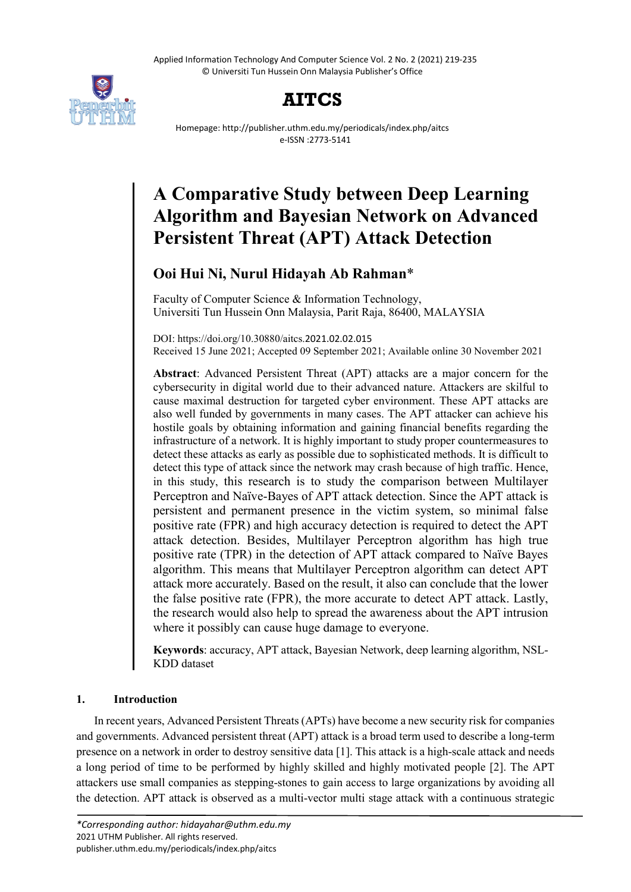Applied Information Technology And Computer Science Vol. 2 No. 2 (2021) 219-235 © Universiti Tun Hussein Onn Malaysia Publisher's Office



# **AITCS**

Homepage: http://publisher.uthm.edu.my/periodicals/index.php/aitcs e-ISSN :2773-5141

# **A Comparative Study between Deep Learning Algorithm and Bayesian Network on Advanced Persistent Threat (APT) Attack Detection**

# **Ooi Hui Ni, Nurul Hidayah Ab Rahman**\*

Faculty of Computer Science & Information Technology, Universiti Tun Hussein Onn Malaysia, Parit Raja, 86400, MALAYSIA

DOI: https://doi.org/10.30880/aitcs.2021.02.02.015 Received 15 June 2021; Accepted 09 September 2021; Available online 30 November 2021

**Abstract**: Advanced Persistent Threat (APT) attacks are a major concern for the cybersecurity in digital world due to their advanced nature. Attackers are skilful to cause maximal destruction for targeted cyber environment. These APT attacks are also well funded by governments in many cases. The APT attacker can achieve his hostile goals by obtaining information and gaining financial benefits regarding the infrastructure of a network. It is highly important to study proper countermeasures to detect these attacks as early as possible due to sophisticated methods. It is difficult to detect this type of attack since the network may crash because of high traffic. Hence, in this study, this research is to study the comparison between Multilayer Perceptron and Naïve-Bayes of APT attack detection. Since the APT attack is persistent and permanent presence in the victim system, so minimal false positive rate (FPR) and high accuracy detection is required to detect the APT attack detection. Besides, Multilayer Perceptron algorithm has high true positive rate (TPR) in the detection of APT attack compared to Naïve Bayes algorithm. This means that Multilayer Perceptron algorithm can detect APT attack more accurately. Based on the result, it also can conclude that the lower the false positive rate (FPR), the more accurate to detect APT attack. Lastly, the research would also help to spread the awareness about the APT intrusion where it possibly can cause huge damage to everyone.

**Keywords**: accuracy, APT attack, Bayesian Network, deep learning algorithm, NSL-KDD dataset

# **1. Introduction**

In recent years, Advanced Persistent Threats (APTs) have become a new security risk for companies and governments. Advanced persistent threat (APT) attack is a broad term used to describe a long-term presence on a network in order to destroy sensitive data [1]. This attack is a high-scale attack and needs a long period of time to be performed by highly skilled and highly motivated people [2]. The APT attackers use small companies as stepping-stones to gain access to large organizations by avoiding all the detection. APT attack is observed as a multi-vector multi stage attack with a continuous strategic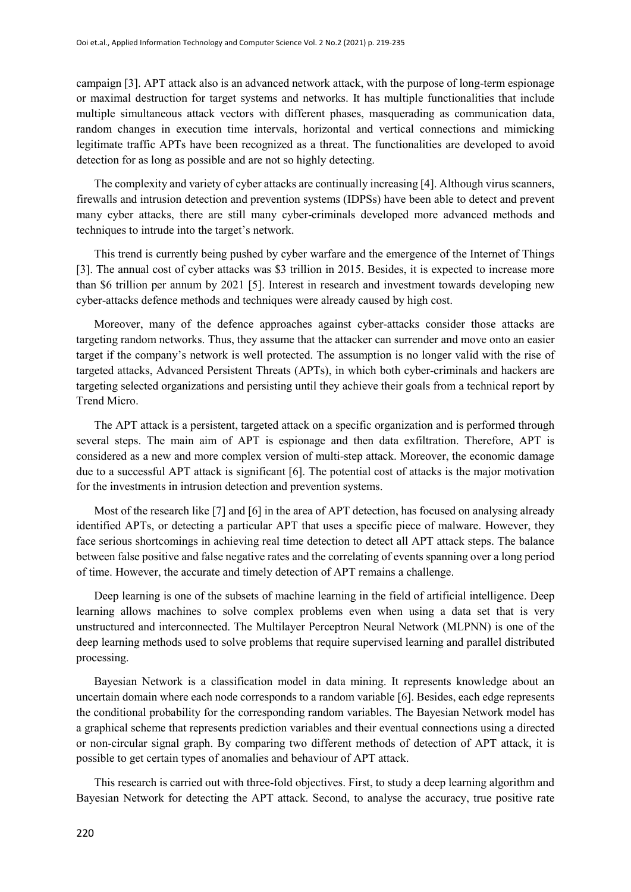campaign [3]. APT attack also is an advanced network attack, with the purpose of long-term espionage or maximal destruction for target systems and networks. It has multiple functionalities that include multiple simultaneous attack vectors with different phases, masquerading as communication data, random changes in execution time intervals, horizontal and vertical connections and mimicking legitimate traffic APTs have been recognized as a threat. The functionalities are developed to avoid detection for as long as possible and are not so highly detecting.

The complexity and variety of cyber attacks are continually increasing [4]. Although virus scanners, firewalls and intrusion detection and prevention systems (IDPSs) have been able to detect and prevent many cyber attacks, there are still many cyber-criminals developed more advanced methods and techniques to intrude into the target's network.

This trend is currently being pushed by cyber warfare and the emergence of the Internet of Things [3]. The annual cost of cyber attacks was \$3 trillion in 2015. Besides, it is expected to increase more than \$6 trillion per annum by 2021 [5]. Interest in research and investment towards developing new cyber-attacks defence methods and techniques were already caused by high cost.

Moreover, many of the defence approaches against cyber-attacks consider those attacks are targeting random networks. Thus, they assume that the attacker can surrender and move onto an easier target if the company's network is well protected. The assumption is no longer valid with the rise of targeted attacks, Advanced Persistent Threats (APTs), in which both cyber-criminals and hackers are targeting selected organizations and persisting until they achieve their goals from a technical report by Trend Micro.

The APT attack is a persistent, targeted attack on a specific organization and is performed through several steps. The main aim of APT is espionage and then data exfiltration. Therefore, APT is considered as a new and more complex version of multi-step attack. Moreover, the economic damage due to a successful APT attack is significant [6]. The potential cost of attacks is the major motivation for the investments in intrusion detection and prevention systems.

Most of the research like [7] and [6] in the area of APT detection, has focused on analysing already identified APTs, or detecting a particular APT that uses a specific piece of malware. However, they face serious shortcomings in achieving real time detection to detect all APT attack steps. The balance between false positive and false negative rates and the correlating of events spanning over a long period of time. However, the accurate and timely detection of APT remains a challenge.

Deep learning is one of the subsets of machine learning in the field of artificial intelligence. Deep learning allows machines to solve complex problems even when using a data set that is very unstructured and interconnected. The Multilayer Perceptron Neural Network (MLPNN) is one of the deep learning methods used to solve problems that require supervised learning and parallel distributed processing.

Bayesian Network is a classification model in data mining. It represents knowledge about an uncertain domain where each node corresponds to a random variable [6]. Besides, each edge represents the conditional probability for the corresponding random variables. The Bayesian Network model has a graphical scheme that represents prediction variables and their eventual connections using a directed or non-circular signal graph. By comparing two different methods of detection of APT attack, it is possible to get certain types of anomalies and behaviour of APT attack.

This research is carried out with three-fold objectives. First, to study a deep learning algorithm and Bayesian Network for detecting the APT attack. Second, to analyse the accuracy, true positive rate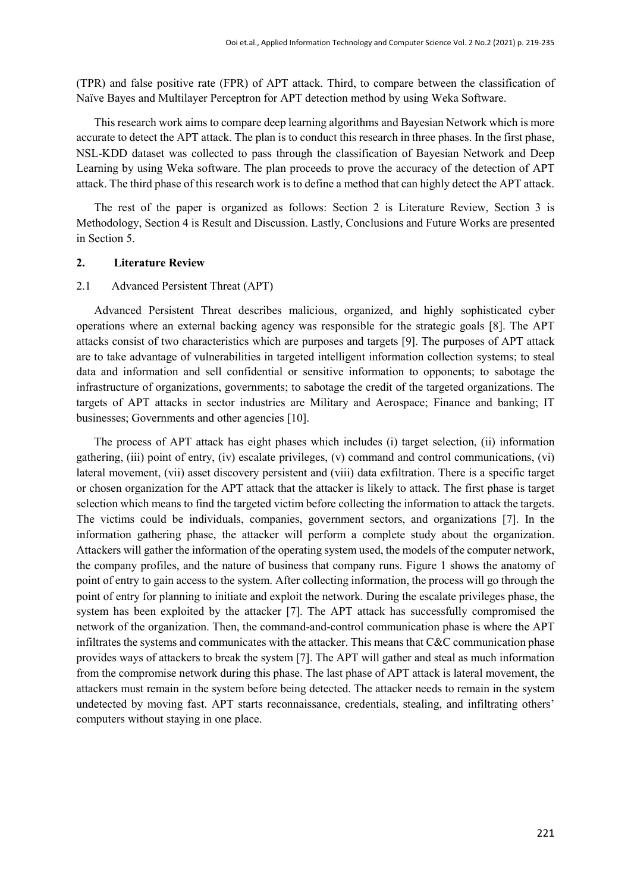(TPR) and false positive rate (FPR) of APT attack. Third, to compare between the classification of Naïve Bayes and Multilayer Perceptron for APT detection method by using Weka Software.

This research work aims to compare deep learning algorithms and Bayesian Network which is more accurate to detect the APT attack. The plan is to conduct this research in three phases. In the first phase, NSL-KDD dataset was collected to pass through the classification of Bayesian Network and Deep Learning by using Weka software. The plan proceeds to prove the accuracy of the detection of APT attack. The third phase of this research work is to define a method that can highly detect the APT attack.

The rest of the paper is organized as follows: Section 2 is Literature Review, Section 3 is Methodology, Section 4 is Result and Discussion. Lastly, Conclusions and Future Works are presented in Section 5.

#### **2. Literature Review**

### 2.1 Advanced Persistent Threat (APT)

Advanced Persistent Threat describes malicious, organized, and highly sophisticated cyber operations where an external backing agency was responsible for the strategic goals [8]. The APT attacks consist of two characteristics which are purposes and targets [9]. The purposes of APT attack are to take advantage of vulnerabilities in targeted intelligent information collection systems; to steal data and information and sell confidential or sensitive information to opponents; to sabotage the infrastructure of organizations, governments; to sabotage the credit of the targeted organizations. The targets of APT attacks in sector industries are Military and Aerospace; Finance and banking; IT businesses; Governments and other agencies [10].

The process of APT attack has eight phases which includes (i) target selection, (ii) information gathering, (iii) point of entry, (iv) escalate privileges, (v) command and control communications, (vi) lateral movement, (vii) asset discovery persistent and (viii) data exfiltration. There is a specific target or chosen organization for the APT attack that the attacker is likely to attack. The first phase is target selection which means to find the targeted victim before collecting the information to attack the targets. The victims could be individuals, companies, government sectors, and organizations [7]. In the information gathering phase, the attacker will perform a complete study about the organization. Attackers will gather the information of the operating system used, the models of the computer network, the company profiles, and the nature of business that company runs. Figure 1 shows the anatomy of point of entry to gain access to the system. After collecting information, the process will go through the point of entry for planning to initiate and exploit the network. During the escalate privileges phase, the system has been exploited by the attacker [7]. The APT attack has successfully compromised the network of the organization. Then, the command-and-control communication phase is where the APT infiltrates the systems and communicates with the attacker. This means that C&C communication phase provides ways of attackers to break the system [7]. The APT will gather and steal as much information from the compromise network during this phase. The last phase of APT attack is lateral movement, the attackers must remain in the system before being detected. The attacker needs to remain in the system undetected by moving fast. APT starts reconnaissance, credentials, stealing, and infiltrating others' computers without staying in one place.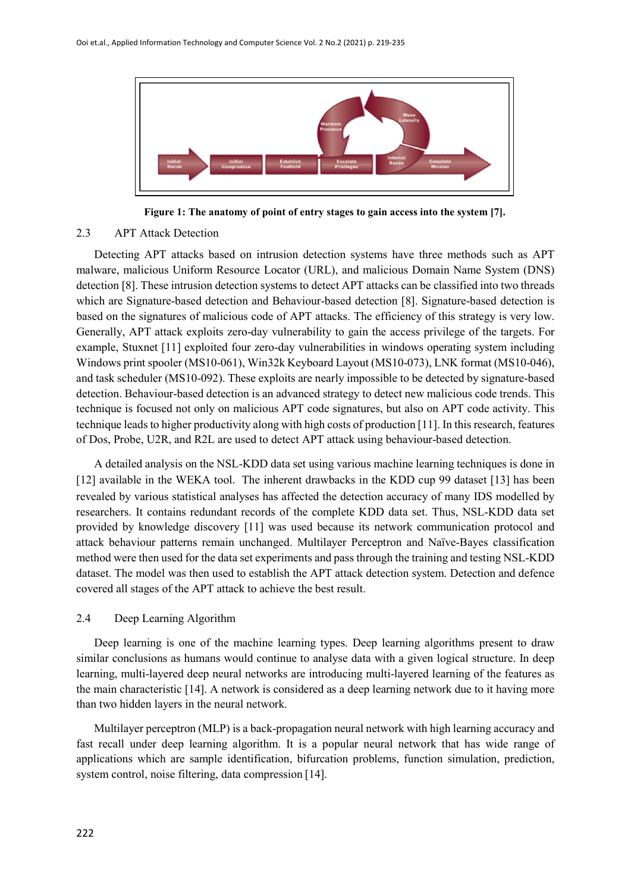

**Figure 1: The anatomy of point of entry stages to gain access into the system [7].**

#### 2.3 APT Attack Detection

Detecting APT attacks based on intrusion detection systems have three methods such as APT malware, malicious Uniform Resource Locator (URL), and malicious Domain Name System (DNS) detection [8]. These intrusion detection systems to detect APT attacks can be classified into two threads which are Signature-based detection and Behaviour-based detection [8]. Signature-based detection is based on the signatures of malicious code of APT attacks. The efficiency of this strategy is very low. Generally, APT attack exploits zero-day vulnerability to gain the access privilege of the targets. For example, Stuxnet [11] exploited four zero-day vulnerabilities in windows operating system including Windows print spooler (MS10-061), Win32k Keyboard Layout (MS10-073), LNK format (MS10-046), and task scheduler (MS10-092). These exploits are nearly impossible to be detected by signature-based detection. Behaviour-based detection is an advanced strategy to detect new malicious code trends. This technique is focused not only on malicious APT code signatures, but also on APT code activity. This technique leads to higher productivity along with high costs of production [11]. In this research, features of Dos, Probe, U2R, and R2L are used to detect APT attack using behaviour-based detection.

A detailed analysis on the NSL-KDD data set using various machine learning techniques is done in [12] available in the WEKA tool. The inherent drawbacks in the KDD cup 99 dataset [13] has been revealed by various statistical analyses has affected the detection accuracy of many IDS modelled by researchers. It contains redundant records of the complete KDD data set. Thus, NSL-KDD data set provided by knowledge discovery [11] was used because its network communication protocol and attack behaviour patterns remain unchanged. Multilayer Perceptron and Naïve-Bayes classification method were then used for the data set experiments and pass through the training and testing NSL-KDD dataset. The model was then used to establish the APT attack detection system. Detection and defence covered all stages of the APT attack to achieve the best result.

## 2.4 Deep Learning Algorithm

Deep learning is one of the machine learning types. Deep learning algorithms present to draw similar conclusions as humans would continue to analyse data with a given logical structure. In deep learning, multi-layered deep neural networks are introducing multi-layered learning of the features as the main characteristic [14]. A network is considered as a deep learning network due to it having more than two hidden layers in the neural network.

Multilayer perceptron (MLP) is a back-propagation neural network with high learning accuracy and fast recall under deep learning algorithm. It is a popular neural network that has wide range of applications which are sample identification, bifurcation problems, function simulation, prediction, system control, noise filtering, data compression [14].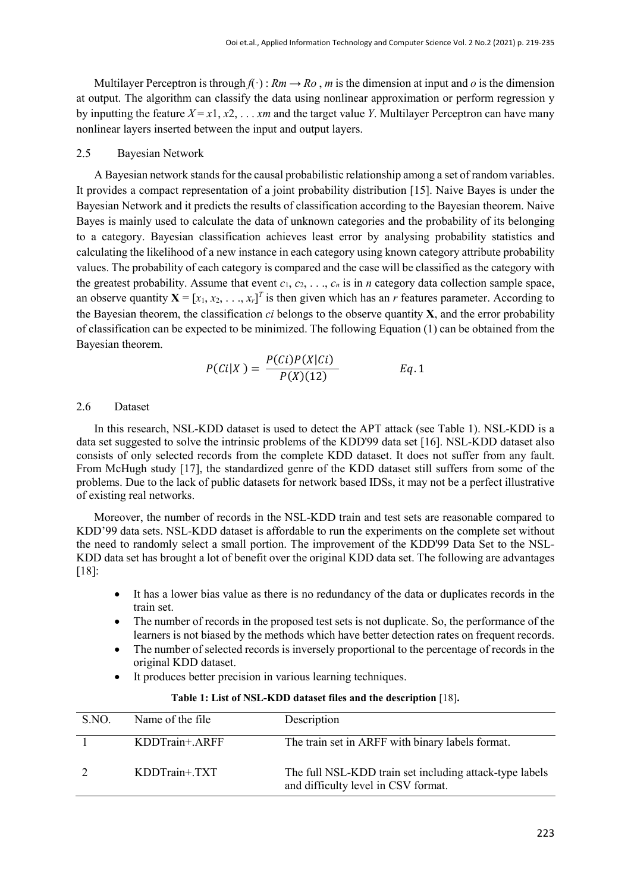Multilayer Perceptron is through  $f(\cdot)$ :  $Rm \to Ro$ , *m* is the dimension at input and *o* is the dimension at output. The algorithm can classify the data using nonlinear approximation or perform regression y by inputting the feature  $X = x1, x2, \ldots$  *xm* and the target value *Y*. Multilayer Perceptron can have many nonlinear layers inserted between the input and output layers.

#### 2.5 Bayesian Network

A Bayesian network stands for the causal probabilistic relationship among a set of random variables. It provides a compact representation of a joint probability distribution [15]. Naive Bayes is under the Bayesian Network and it predicts the results of classification according to the Bayesian theorem. Naive Bayes is mainly used to calculate the data of unknown categories and the probability of its belonging to a category. Bayesian classification achieves least error by analysing probability statistics and calculating the likelihood of a new instance in each category using known category attribute probability values. The probability of each category is compared and the case will be classified as the category with the greatest probability. Assume that event  $c_1, c_2, \ldots, c_n$  is in *n* category data collection sample space, an observe quantity  $X = [x_1, x_2, \ldots, x_r]^T$  is then given which has an *r* features parameter. According to the Bayesian theorem, the classification *ci* belongs to the observe quantity **X**, and the error probability of classification can be expected to be minimized. The following Equation (1) can be obtained from the Bayesian theorem.

$$
P(Ci|X) = \frac{P(Ci)P(X|Ci)}{P(X)(12)} \qquad Eq. 1
$$

#### 2.6 Dataset

In this research, NSL-KDD dataset is used to detect the APT attack (see Table 1). NSL-KDD is a data set suggested to solve the intrinsic problems of the KDD'99 data set [16]. NSL-KDD dataset also consists of only selected records from the complete KDD dataset. It does not suffer from any fault. From McHugh study [17], the standardized genre of the KDD dataset still suffers from some of the problems. Due to the lack of public datasets for network based IDSs, it may not be a perfect illustrative of existing real networks.

Moreover, the number of records in the NSL-KDD train and test sets are reasonable compared to KDD'99 data sets. NSL-KDD dataset is affordable to run the experiments on the complete set without the need to randomly select a small portion. The improvement of the KDD'99 Data Set to the NSL-KDD data set has brought a lot of benefit over the original KDD data set. The following are advantages [18]:

- It has a lower bias value as there is no redundancy of the data or duplicates records in the train set.
- The number of records in the proposed test sets is not duplicate. So, the performance of the learners is not biased by the methods which have better detection rates on frequent records.
- The number of selected records is inversely proportional to the percentage of records in the original KDD dataset.
- It produces better precision in various learning techniques.

| S.NO. | Name of the file    | Description                                                                                    |
|-------|---------------------|------------------------------------------------------------------------------------------------|
|       | $KDDTrain+ARFF$     | The train set in ARFF with binary labels format.                                               |
|       | $KDDT$ rain+. $TXT$ | The full NSL-KDD train set including attack-type labels<br>and difficulty level in CSV format. |

#### **Table 1: List of NSL-KDD dataset files and the description** [18]**.**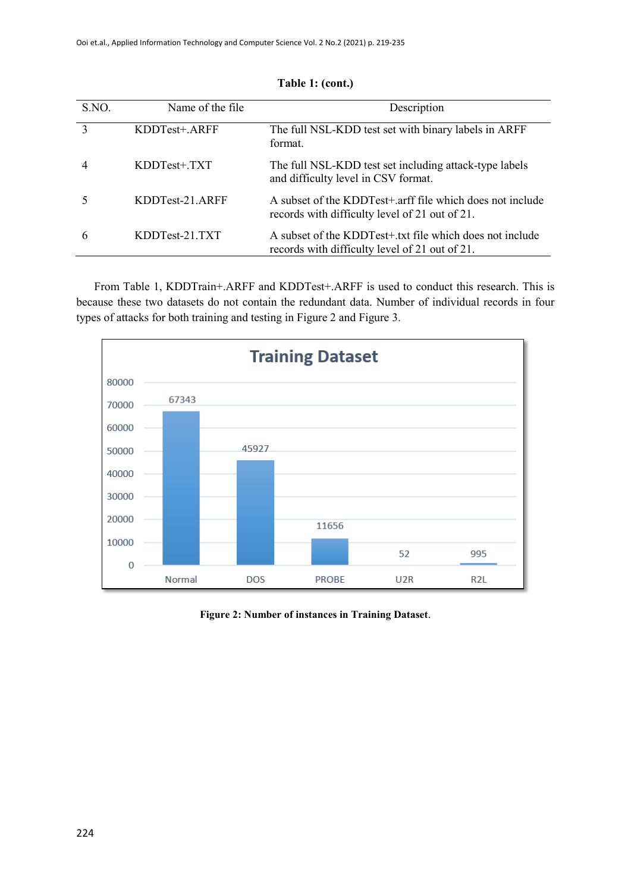| S.NO. | Name of the file. | Description                                                                                                 |
|-------|-------------------|-------------------------------------------------------------------------------------------------------------|
|       | KDDTest+.ARFF     | The full NSL-KDD test set with binary labels in ARFF<br>format.                                             |
| 4     | $KDDTest+. TXT$   | The full NSL-KDD test set including attack-type labels<br>and difficulty level in CSV format.               |
|       | KDDTest-21.ARFF   | A subset of the KDDTest+.arff file which does not include<br>records with difficulty level of 21 out of 21. |
| 6     | KDDTest-21.TXT    | A subset of the KDDT est+.txt file which does not include<br>records with difficulty level of 21 out of 21. |

| Table 1: (cont.) |  |  |
|------------------|--|--|
|                  |  |  |

From Table 1, KDDTrain+.ARFF and KDDTest+.ARFF is used to conduct this research. This is because these two datasets do not contain the redundant data. Number of individual records in four types of attacks for both training and testing in Figure 2 and Figure 3.



**Figure 2: Number of instances in Training Dataset**.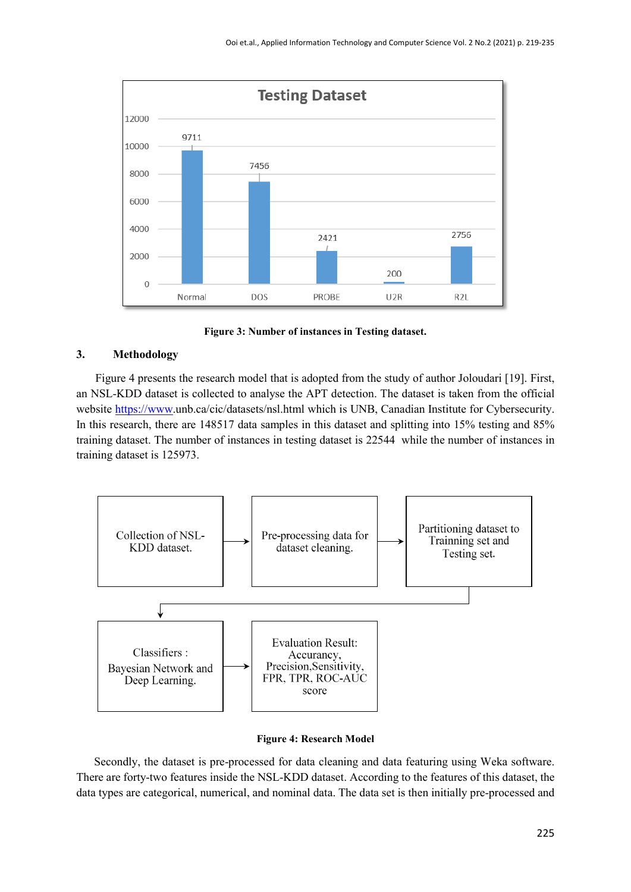

**Figure 3: Number of instances in Testing dataset.**

# **3. Methodology**

Figure 4 presents the research model that is adopted from the study of author Joloudari [19]. First, an NSL-KDD dataset is collected to analyse the APT detection. The dataset is taken from the official website [https://www.](https://www/)unb.ca/cic/datasets/nsl.html which is UNB, Canadian Institute for Cybersecurity. In this research, there are 148517 data samples in this dataset and splitting into 15% testing and 85% training dataset. The number of instances in testing dataset is 22544 while the number of instances in training dataset is 125973.



**Figure 4: Research Model**

Secondly, the dataset is pre-processed for data cleaning and data featuring using Weka software. There are forty-two features inside the NSL-KDD dataset. According to the features of this dataset, the data types are categorical, numerical, and nominal data. The data set is then initially pre-processed and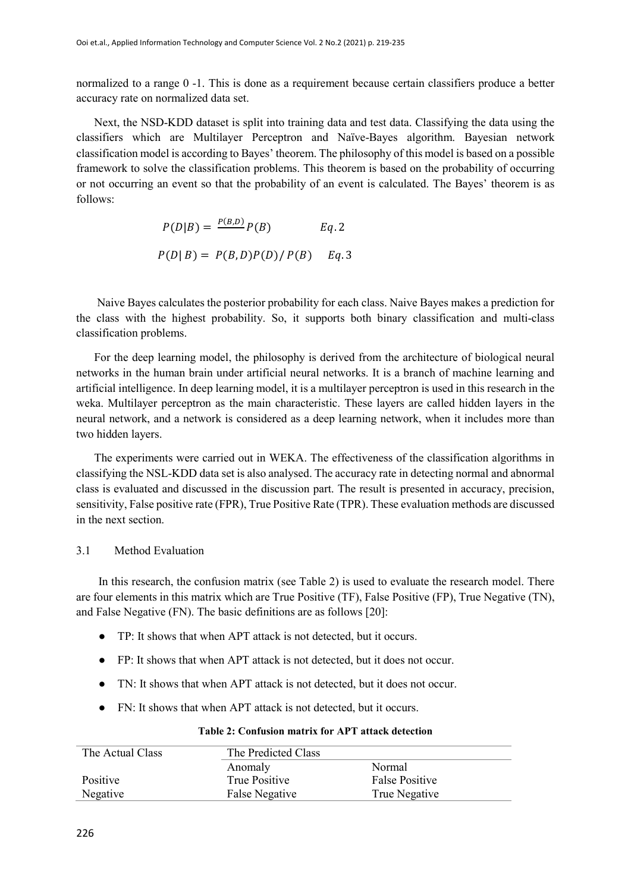normalized to a range 0 -1. This is done as a requirement because certain classifiers produce a better accuracy rate on normalized data set.

Next, the NSD-KDD dataset is split into training data and test data. Classifying the data using the classifiers which are Multilayer Perceptron and Naïve-Bayes algorithm. Bayesian network classification model is according to Bayes' theorem. The philosophy of this model is based on a possible framework to solve the classification problems. This theorem is based on the probability of occurring or not occurring an event so that the probability of an event is calculated. The Bayes' theorem is as follows:

$$
P(D|B) = \frac{P(B,D)}{P(B)} P(B) \qquad Eq. 2
$$
  
 
$$
P(D|B) = P(B,D)P(D)/P(B) \qquad Eq. 3
$$

 Naive Bayes calculates the posterior probability for each class. Naive Bayes makes a prediction for the class with the highest probability. So, it supports both binary classification and multi-class classification problems.

For the deep learning model, the philosophy is derived from the architecture of biological neural networks in the human brain under artificial neural networks. It is a branch of machine learning and artificial intelligence. In deep learning model, it is a multilayer perceptron is used in this research in the weka. Multilayer perceptron as the main characteristic. These layers are called hidden layers in the neural network, and a network is considered as a deep learning network, when it includes more than two hidden layers.

The experiments were carried out in WEKA. The effectiveness of the classification algorithms in classifying the NSL-KDD data set is also analysed. The accuracy rate in detecting normal and abnormal class is evaluated and discussed in the discussion part. The result is presented in accuracy, precision, sensitivity, False positive rate (FPR), True Positive Rate (TPR). These evaluation methods are discussed in the next section.

## 3.1 Method Evaluation

In this research, the confusion matrix (see Table 2) is used to evaluate the research model. There are four elements in this matrix which are True Positive (TF), False Positive (FP), True Negative (TN), and False Negative (FN). The basic definitions are as follows [20]:

- TP: It shows that when APT attack is not detected, but it occurs.
- FP: It shows that when APT attack is not detected, but it does not occur.
- TN: It shows that when APT attack is not detected, but it does not occur.
- FN: It shows that when APT attack is not detected, but it occurs.

| The Actual Class | The Predicted Class |                       |  |  |  |
|------------------|---------------------|-----------------------|--|--|--|
|                  | Anomaly             | Normal                |  |  |  |
| Positive         | True Positive       | <b>False Positive</b> |  |  |  |
| Negative         | False Negative      | True Negative         |  |  |  |

#### **Table 2: Confusion matrix for APT attack detection**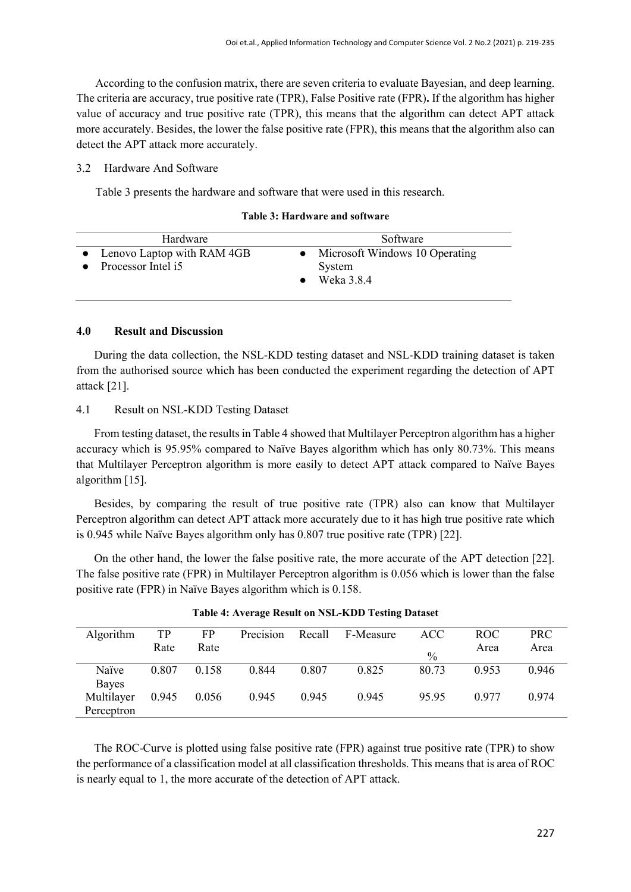According to the confusion matrix, there are seven criteria to evaluate Bayesian, and deep learning. The criteria are accuracy, true positive rate (TPR), False Positive rate (FPR)**.** If the algorithm has higher value of accuracy and true positive rate (TPR), this means that the algorithm can detect APT attack more accurately. Besides, the lower the false positive rate (FPR), this means that the algorithm also can detect the APT attack more accurately.

#### 3.2 Hardware And Software

Table 3 presents the hardware and software that were used in this research.

| Hardware                     | Software                         |
|------------------------------|----------------------------------|
| • Lenovo Laptop with RAM 4GB | • Microsoft Windows 10 Operating |
| • Processor Intel $i5$       | System                           |
|                              | $\bullet$ Weka 3.8.4             |
|                              |                                  |

### **4.0 Result and Discussion**

During the data collection, the NSL-KDD testing dataset and NSL-KDD training dataset is taken from the authorised source which has been conducted the experiment regarding the detection of APT attack [21].

#### 4.1 Result on NSL-KDD Testing Dataset

From testing dataset, the results in Table 4 showed that Multilayer Perceptron algorithm has a higher accuracy which is 95.95% compared to Naïve Bayes algorithm which has only 80.73%. This means that Multilayer Perceptron algorithm is more easily to detect APT attack compared to Naïve Bayes algorithm [15].

Besides, by comparing the result of true positive rate (TPR) also can know that Multilayer Perceptron algorithm can detect APT attack more accurately due to it has high true positive rate which is 0.945 while Naïve Bayes algorithm only has 0.807 true positive rate (TPR) [22].

On the other hand, the lower the false positive rate, the more accurate of the APT detection [22]. The false positive rate (FPR) in Multilayer Perceptron algorithm is 0.056 which is lower than the false positive rate (FPR) in Naïve Bayes algorithm which is 0.158.

| Algorithm  | TP    | FP    | Precision | Recall | F-Measure | <b>ACC</b>    | ROC.  | <b>PRC</b> |
|------------|-------|-------|-----------|--------|-----------|---------------|-------|------------|
|            | Rate  | Rate  |           |        |           | $\frac{0}{0}$ | Area  | Area       |
| Naïve      | 0.807 | 0.158 | 0.844     | 0.807  | 0.825     | 80.73         | 0.953 | 0.946      |
| Bayes      |       |       |           |        |           |               |       |            |
| Multilayer | 0.945 | 0.056 | 0.945     | 0.945  | 0.945     | 95.95         | 0.977 | 0.974      |
| Perceptron |       |       |           |        |           |               |       |            |

|  | Table 4: Average Result on NSL-KDD Testing Dataset |
|--|----------------------------------------------------|
|--|----------------------------------------------------|

The ROC-Curve is plotted using false positive rate (FPR) against true positive rate (TPR) to show the performance of a classification model at all classification thresholds. This means that is area of ROC is nearly equal to 1, the more accurate of the detection of APT attack.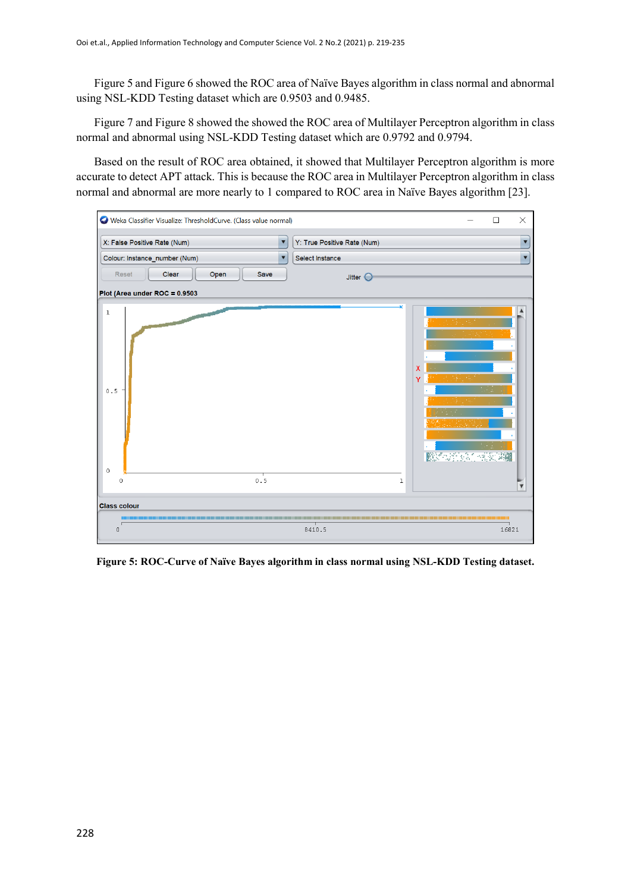Figure 5 and Figure 6 showed the ROC area of Naïve Bayes algorithm in class normal and abnormal using NSL-KDD Testing dataset which are 0.9503 and 0.9485.

Figure 7 and Figure 8 showed the showed the ROC area of Multilayer Perceptron algorithm in class normal and abnormal using NSL-KDD Testing dataset which are 0.9792 and 0.9794.

Based on the result of ROC area obtained, it showed that Multilayer Perceptron algorithm is more accurate to detect APT attack. This is because the ROC area in Multilayer Perceptron algorithm in class normal and abnormal are more nearly to 1 compared to ROC area in Naïve Bayes algorithm [23].



**Figure 5: ROC-Curve of Naïve Bayes algorithm in class normal using NSL-KDD Testing dataset.**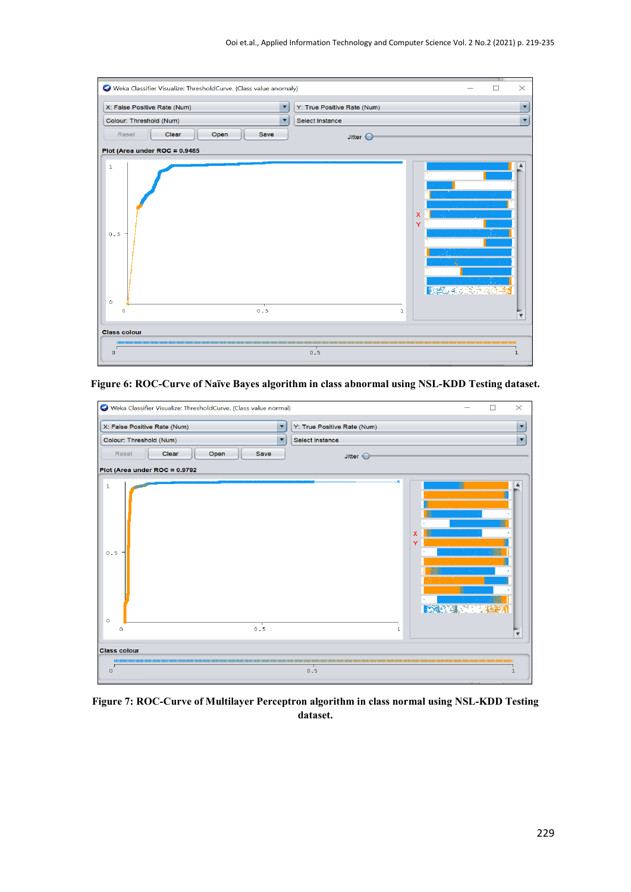

**Figure 6: ROC-Curve of Naïve Bayes algorithm in class abnormal using NSL-KDD Testing dataset.**



**Figure 7: ROC-Curve of Multilayer Perceptron algorithm in class normal using NSL-KDD Testing dataset.**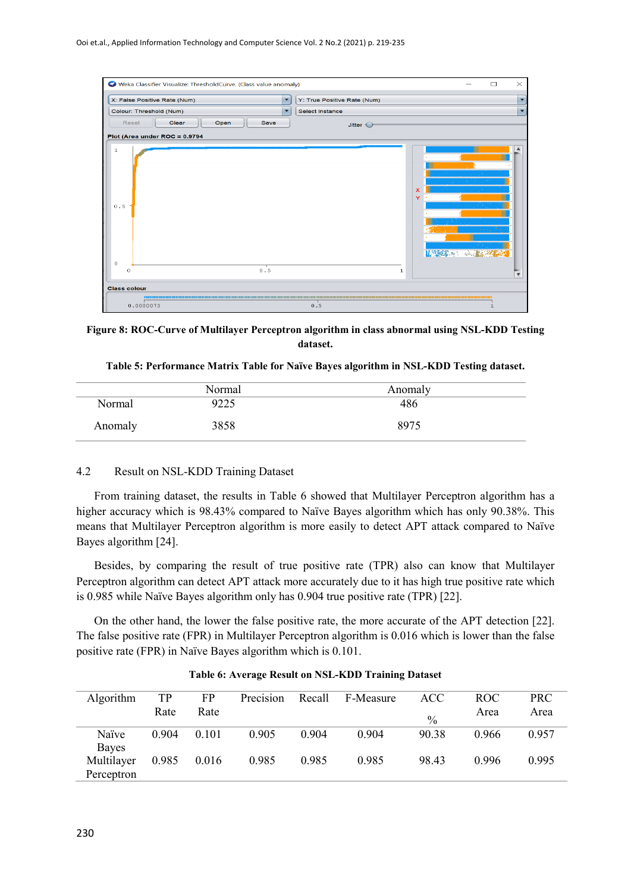

**Figure 8: ROC-Curve of Multilayer Perceptron algorithm in class abnormal using NSL-KDD Testing dataset.**

|         | Normal | Anomaly |
|---------|--------|---------|
| Normal  | 9225   | 486     |
| Anomaly | 3858   | 8975    |

### 4.2 Result on NSL-KDD Training Dataset

From training dataset, the results in Table 6 showed that Multilayer Perceptron algorithm has a higher accuracy which is 98.43% compared to Naïve Bayes algorithm which has only 90.38%. This means that Multilayer Perceptron algorithm is more easily to detect APT attack compared to Naïve Bayes algorithm [24].

Besides, by comparing the result of true positive rate (TPR) also can know that Multilayer Perceptron algorithm can detect APT attack more accurately due to it has high true positive rate which is 0.985 while Naïve Bayes algorithm only has 0.904 true positive rate (TPR) [22].

On the other hand, the lower the false positive rate, the more accurate of the APT detection [22]. The false positive rate (FPR) in Multilayer Perceptron algorithm is 0.016 which is lower than the false positive rate (FPR) in Naïve Bayes algorithm which is 0.101.

| Algorithm  | TР    | FP    | Precision | Recall | F-Measure | <b>ACC</b>    | ROC.  | <b>PRC</b> |
|------------|-------|-------|-----------|--------|-----------|---------------|-------|------------|
|            | Rate  | Rate  |           |        |           | $\frac{0}{0}$ | Area  | Area       |
| Naïve      | 0.904 | 0.101 | 0.905     | 0.904  | 0.904     | 90.38         | 0.966 | 0.957      |
| Bayes      |       |       |           |        |           |               |       |            |
| Multilayer | 0.985 | 0.016 | 0.985     | 0.985  | 0.985     | 98.43         | 0.996 | 0.995      |
| Perceptron |       |       |           |        |           |               |       |            |

#### **Table 6: Average Result on NSL-KDD Training Dataset**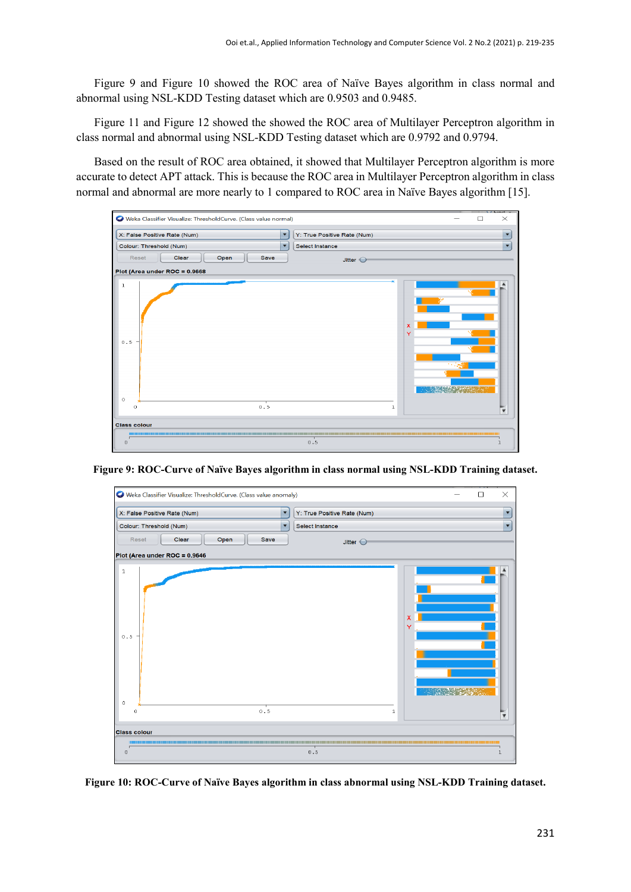Figure 9 and Figure 10 showed the ROC area of Naïve Bayes algorithm in class normal and abnormal using NSL-KDD Testing dataset which are 0.9503 and 0.9485.

Figure 11 and Figure 12 showed the showed the ROC area of Multilayer Perceptron algorithm in class normal and abnormal using NSL-KDD Testing dataset which are 0.9792 and 0.9794.

Based on the result of ROC area obtained, it showed that Multilayer Perceptron algorithm is more accurate to detect APT attack. This is because the ROC area in Multilayer Perceptron algorithm in class normal and abnormal are more nearly to 1 compared to ROC area in Naïve Bayes algorithm [15].



**Figure 9: ROC-Curve of Naïve Bayes algorithm in class normal using NSL-KDD Training dataset.**

| Weka Classifier Visualize: ThresholdCurve. (Class value anomaly) |                         | $\times$<br>$\Box$                      |
|------------------------------------------------------------------|-------------------------|-----------------------------------------|
| X: False Positive Rate (Num)                                     | ▼                       | Y: True Positive Rate (Num)             |
| Colour: Threshold (Num)                                          | $\overline{\mathbf{v}}$ | Select Instance<br>▼                    |
| Open<br>Reset<br>Clear<br>Save                                   |                         | Jitter (                                |
| Plot (Area under ROC = 0.9646                                    |                         |                                         |
| $\mathbf 1$<br>$0.5\,$<br>$\mathbb O$<br>$0.5\,$<br>$\circ$      |                         | $\boldsymbol{\mathsf{x}}$<br>Y<br>$1\,$ |
|                                                                  |                         |                                         |
| <b>Class colour</b><br><b>HILLION</b>                            |                         |                                         |
| $\mathsf 0$                                                      |                         | т<br>0.5                                |

**Figure 10: ROC-Curve of Naïve Bayes algorithm in class abnormal using NSL-KDD Training dataset.**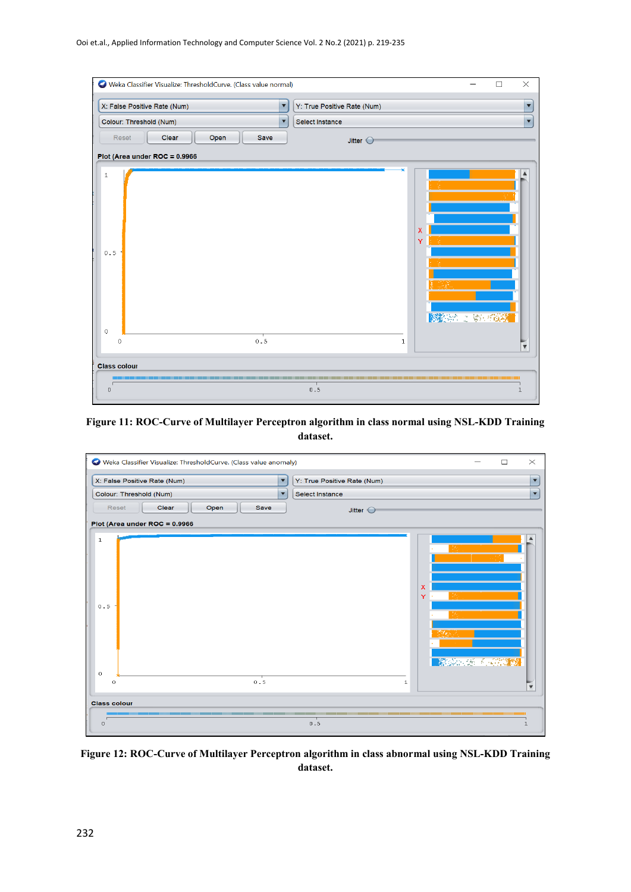|                                        | Weka Classifier Visualize: ThresholdCurve. (Class value normal) |                      | П                                                | $\times$                                    |
|----------------------------------------|-----------------------------------------------------------------|----------------------|--------------------------------------------------|---------------------------------------------|
| X: False Positive Rate (Num)           |                                                                 | $\blacktriangledown$ | Y: True Positive Rate (Num)                      | ▼                                           |
| Colour: Threshold (Num)                |                                                                 | ▼                    | Select Instance                                  | $\overline{\textbf{v}}$                     |
| Reset                                  | Clear<br>Open                                                   | Save                 | <b>Jitter</b>                                    |                                             |
| Plot (Area under ROC = 0.9966          |                                                                 |                      |                                                  |                                             |
| $\,1$<br>0.5<br>$\,0\,$<br>$\mathbf 0$ |                                                                 | 0.5                  | $\mathbf{x}$<br>Y<br><b>图498 2 第66章</b><br>$\,1$ | $\blacktriangle$<br>$\overline{\mathbf{v}}$ |
|                                        |                                                                 |                      |                                                  |                                             |
| <b>Class colour</b>                    |                                                                 |                      |                                                  |                                             |
| 0                                      |                                                                 |                      | 0.5                                              | $\mathbf{1}$                                |

**Figure 11: ROC-Curve of Multilayer Perceptron algorithm in class normal using NSL-KDD Training dataset.**



**Figure 12: ROC-Curve of Multilayer Perceptron algorithm in class abnormal using NSL-KDD Training dataset.**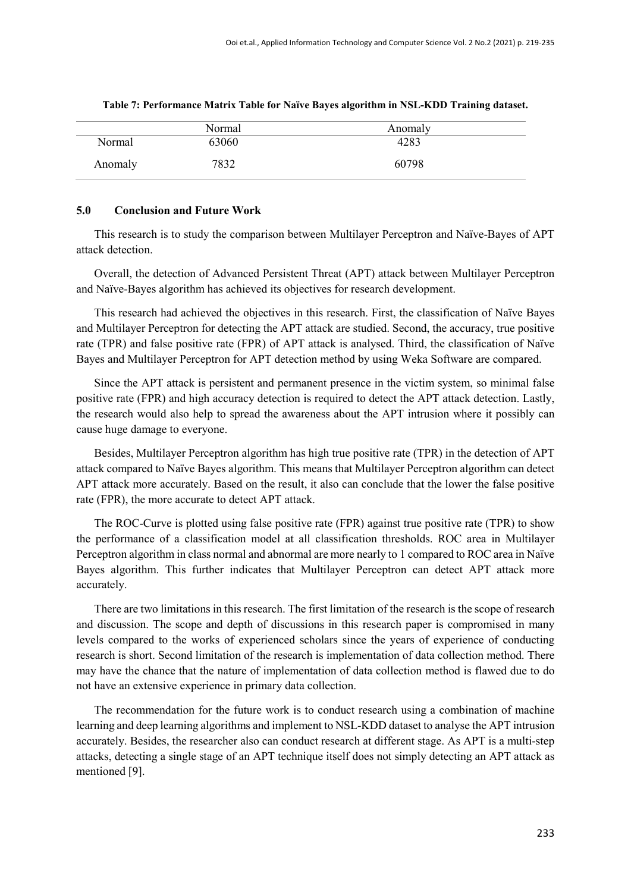|         | Normal | Anomaly |
|---------|--------|---------|
| Normal  | 63060  | 4283    |
| Anomaly | 7832   | 60798   |

#### **Table 7: Performance Matrix Table for Naïve Bayes algorithm in NSL-KDD Training dataset.**

#### **5.0 Conclusion and Future Work**

This research is to study the comparison between Multilayer Perceptron and Naïve-Bayes of APT attack detection.

Overall, the detection of Advanced Persistent Threat (APT) attack between Multilayer Perceptron and Naïve-Bayes algorithm has achieved its objectives for research development.

This research had achieved the objectives in this research. First, the classification of Naïve Bayes and Multilayer Perceptron for detecting the APT attack are studied. Second, the accuracy, true positive rate (TPR) and false positive rate (FPR) of APT attack is analysed. Third, the classification of Naïve Bayes and Multilayer Perceptron for APT detection method by using Weka Software are compared.

Since the APT attack is persistent and permanent presence in the victim system, so minimal false positive rate (FPR) and high accuracy detection is required to detect the APT attack detection. Lastly, the research would also help to spread the awareness about the APT intrusion where it possibly can cause huge damage to everyone.

Besides, Multilayer Perceptron algorithm has high true positive rate (TPR) in the detection of APT attack compared to Naïve Bayes algorithm. This means that Multilayer Perceptron algorithm can detect APT attack more accurately. Based on the result, it also can conclude that the lower the false positive rate (FPR), the more accurate to detect APT attack.

The ROC-Curve is plotted using false positive rate (FPR) against true positive rate (TPR) to show the performance of a classification model at all classification thresholds. ROC area in Multilayer Perceptron algorithm in class normal and abnormal are more nearly to 1 compared to ROC area in Naïve Bayes algorithm. This further indicates that Multilayer Perceptron can detect APT attack more accurately.

There are two limitations in this research. The first limitation of the research is the scope of research and discussion. The scope and depth of discussions in this research paper is compromised in many levels compared to the works of experienced scholars since the years of experience of conducting research is short. Second limitation of the research is implementation of data collection method. There may have the chance that the nature of implementation of data collection method is flawed due to do not have an extensive experience in primary data collection.

The recommendation for the future work is to conduct research using a combination of machine learning and deep learning algorithms and implement to NSL-KDD dataset to analyse the APT intrusion accurately. Besides, the researcher also can conduct research at different stage. As APT is a multi-step attacks, detecting a single stage of an APT technique itself does not simply detecting an APT attack as mentioned [9].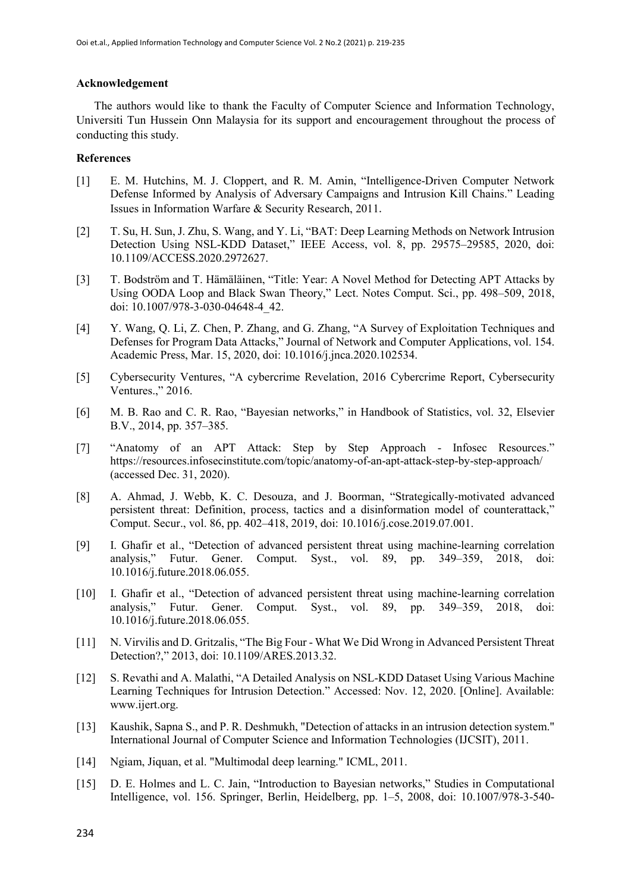#### **Acknowledgement**

The authors would like to thank the Faculty of Computer Science and Information Technology, Universiti Tun Hussein Onn Malaysia for its support and encouragement throughout the process of conducting this study.

### **References**

- [1] E. M. Hutchins, M. J. Cloppert, and R. M. Amin, "Intelligence-Driven Computer Network Defense Informed by Analysis of Adversary Campaigns and Intrusion Kill Chains." Leading Issues in Information Warfare & Security Research, 2011.
- [2] T. Su, H. Sun, J. Zhu, S. Wang, and Y. Li, "BAT: Deep Learning Methods on Network Intrusion Detection Using NSL-KDD Dataset," IEEE Access, vol. 8, pp. 29575–29585, 2020, doi: 10.1109/ACCESS.2020.2972627.
- [3] T. Bodström and T. Hämäläinen, "Title: Year: A Novel Method for Detecting APT Attacks by Using OODA Loop and Black Swan Theory," Lect. Notes Comput. Sci., pp. 498–509, 2018, doi: 10.1007/978-3-030-04648-4\_42.
- [4] Y. Wang, Q. Li, Z. Chen, P. Zhang, and G. Zhang, "A Survey of Exploitation Techniques and Defenses for Program Data Attacks," Journal of Network and Computer Applications, vol. 154. Academic Press, Mar. 15, 2020, doi: 10.1016/j.jnca.2020.102534.
- [5] Cybersecurity Ventures, "A cybercrime Revelation, 2016 Cybercrime Report, Cybersecurity Ventures.," 2016.
- [6] M. B. Rao and C. R. Rao, "Bayesian networks," in Handbook of Statistics, vol. 32, Elsevier B.V., 2014, pp. 357–385.
- [7] "Anatomy of an APT Attack: Step by Step Approach Infosec Resources." https://resources.infosecinstitute.com/topic/anatomy-of-an-apt-attack-step-by-step-approach/ (accessed Dec. 31, 2020).
- [8] A. Ahmad, J. Webb, K. C. Desouza, and J. Boorman, "Strategically-motivated advanced persistent threat: Definition, process, tactics and a disinformation model of counterattack," Comput. Secur., vol. 86, pp. 402–418, 2019, doi: 10.1016/j.cose.2019.07.001.
- [9] I. Ghafir et al., "Detection of advanced persistent threat using machine-learning correlation analysis," Futur. Gener. Comput. Syst., vol. 89, pp. 349–359, 2018, doi: 10.1016/j.future.2018.06.055.
- [10] I. Ghafir et al., "Detection of advanced persistent threat using machine-learning correlation analysis," Futur. Gener. Comput. Syst., vol. 89, pp. 349–359, 2018, doi: 10.1016/j.future.2018.06.055.
- [11] N. Virvilis and D. Gritzalis, "The Big Four What We Did Wrong in Advanced Persistent Threat Detection?," 2013, doi: 10.1109/ARES.2013.32.
- [12] S. Revathi and A. Malathi, "A Detailed Analysis on NSL-KDD Dataset Using Various Machine Learning Techniques for Intrusion Detection." Accessed: Nov. 12, 2020. [Online]. Available: www.ijert.org.
- [13] Kaushik, Sapna S., and P. R. Deshmukh, "Detection of attacks in an intrusion detection system." International Journal of Computer Science and Information Technologies (IJCSIT), 2011.
- [14] Ngiam, Jiquan, et al. "Multimodal deep learning." ICML, 2011.
- [15] D. E. Holmes and L. C. Jain, "Introduction to Bayesian networks," Studies in Computational Intelligence, vol. 156. Springer, Berlin, Heidelberg, pp. 1–5, 2008, doi: 10.1007/978-3-540-